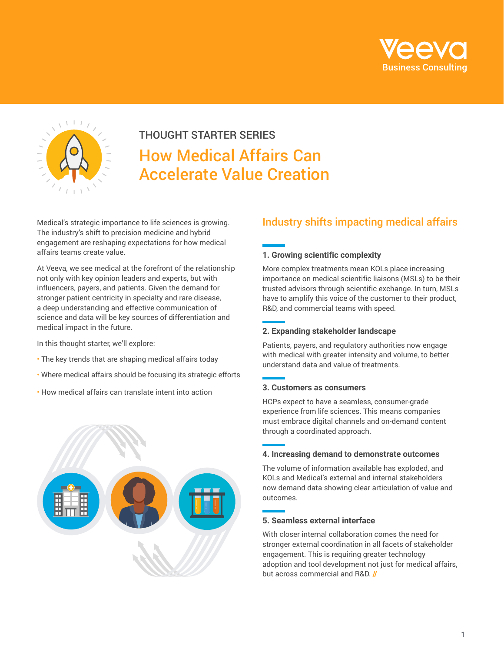



# THOUGHT STARTER SERIES How Medical Affairs Can Accelerate Value Creation

Medical's strategic importance to life sciences is growing. The industry's shift to precision medicine and hybrid engagement are reshaping expectations for how medical affairs teams create value.

At Veeva, we see medical at the forefront of the relationship not only with key opinion leaders and experts, but with influencers, payers, and patients. Given the demand for stronger patient centricity in specialty and rare disease, a deep understanding and effective communication of science and data will be key sources of differentiation and medical impact in the future.

In this thought starter, we'll explore:

- The key trends that are shaping medical affairs today
- Where medical affairs should be focusing its strategic efforts
- How medical affairs can translate intent into action



### Industry shifts impacting medical affairs

#### **1. Growing scientific complexity**

More complex treatments mean KOLs place increasing importance on medical scientific liaisons (MSLs) to be their trusted advisors through scientific exchange. In turn, MSLs have to amplify this voice of the customer to their product, R&D, and commercial teams with speed.

#### **2. Expanding stakeholder landscape**

Patients, payers, and regulatory authorities now engage with medical with greater intensity and volume, to better understand data and value of treatments.

#### **3. Customers as consumers**

HCPs expect to have a seamless, consumer-grade experience from life sciences. This means companies must embrace digital channels and on-demand content through a coordinated approach.

#### **4. Increasing demand to demonstrate outcomes**

The volume of information available has exploded, and KOLs and Medical's external and internal stakeholders now demand data showing clear articulation of value and outcomes.

#### **5. Seamless external interface**

With closer internal collaboration comes the need for stronger external coordination in all facets of stakeholder engagement. This is requiring greater technology adoption and tool development not just for medical affairs, but across commercial and R&D. //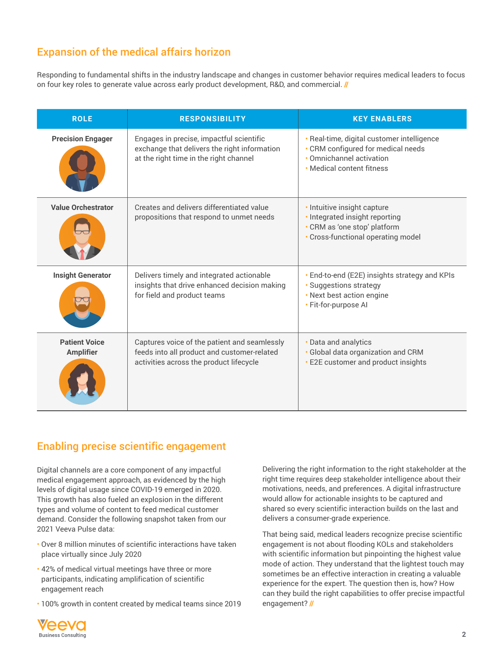## Expansion of the medical affairs horizon

Responding to fundamental shifts in the industry landscape and changes in customer behavior requires medical leaders to focus on four key roles to generate value across early product development, R&D, and commercial. //

| <b>ROLE</b>                              | <b>RESPONSIBILITY</b>                                                                                                                  | <b>KEY ENABLERS</b>                                                                                                                       |
|------------------------------------------|----------------------------------------------------------------------------------------------------------------------------------------|-------------------------------------------------------------------------------------------------------------------------------------------|
| <b>Precision Engager</b>                 | Engages in precise, impactful scientific<br>exchange that delivers the right information<br>at the right time in the right channel     | · Real-time, digital customer intelligence<br>• CRM configured for medical needs<br>• Omnichannel activation<br>. Medical content fitness |
| <b>Value Orchestrator</b>                | Creates and delivers differentiated value<br>propositions that respond to unmet needs                                                  | · Intuitive insight capture<br>· Integrated insight reporting<br>• CRM as 'one stop' platform<br>· Cross-functional operating model       |
| <b>Insight Generator</b>                 | Delivers timely and integrated actionable<br>insights that drive enhanced decision making<br>for field and product teams               | • End-to-end (E2E) insights strategy and KPIs<br>· Suggestions strategy<br>• Next best action engine<br>· Fit-for-purpose Al              |
| <b>Patient Voice</b><br><b>Amplifier</b> | Captures voice of the patient and seamlessly<br>feeds into all product and customer-related<br>activities across the product lifecycle | • Data and analytics<br>· Global data organization and CRM<br><b>E2E</b> customer and product insights                                    |

### Enabling precise scientific engagement

Digital channels are a core component of any impactful medical engagement approach, as evidenced by the high levels of digital usage since COVID-19 emerged in 2020. This growth has also fueled an explosion in the different types and volume of content to feed medical customer demand. Consider the following snapshot taken from our 2021 Veeva Pulse data:

- Over 8 million minutes of scientific interactions have taken place virtually since July 2020
- 42% of medical virtual meetings have three or more participants, indicating amplification of scientific engagement reach
- 100% growth in content created by medical teams since 2019

Delivering the right information to the right stakeholder at the right time requires deep stakeholder intelligence about their motivations, needs, and preferences. A digital infrastructure would allow for actionable insights to be captured and shared so every scientific interaction builds on the last and delivers a consumer-grade experience.

That being said, medical leaders recognize precise scientific engagement is not about flooding KOLs and stakeholders with scientific information but pinpointing the highest value mode of action. They understand that the lightest touch may sometimes be an effective interaction in creating a valuable experience for the expert. The question then is, how? How can they build the right capabilities to offer precise impactful engagement? //

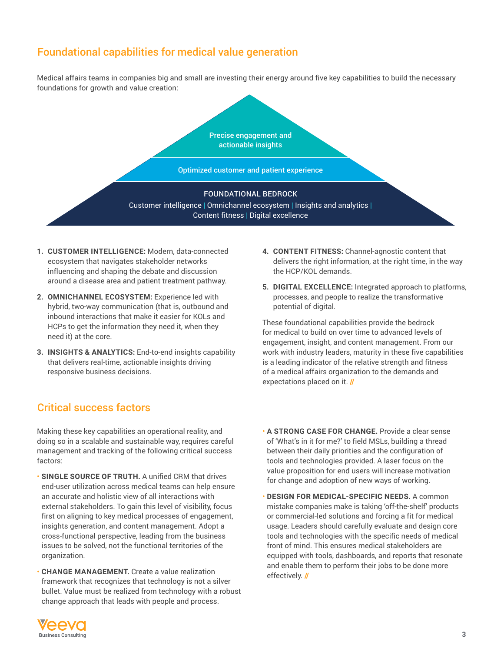### Foundational capabilities for medical value generation

Medical affairs teams in companies big and small are investing their energy around five key capabilities to build the necessary foundations for growth and value creation:

> Precise engagement and actionable insights

Optimized customer and patient experience

#### FOUNDATIONAL BEDROCK

Customer intelligence **|** Omnichannel ecosystem **|** Insights and analytics **|**  Content fitness **|** Digital excellence

- **1. CUSTOMER INTELLIGENCE:** Modern, data-connected ecosystem that navigates stakeholder networks influencing and shaping the debate and discussion around a disease area and patient treatment pathway.
- **2. OMNICHANNEL ECOSYSTEM:** Experience led with hybrid, two-way communication (that is, outbound and inbound interactions that make it easier for KOLs and HCPs to get the information they need it, when they need it) at the core.
- **3. INSIGHTS & ANALYTICS:** End-to-end insights capability that delivers real-time, actionable insights driving responsive business decisions.

### Critical success factors

Making these key capabilities an operational reality, and doing so in a scalable and sustainable way, requires careful management and tracking of the following critical success factors:

- **SINGLE SOURCE OF TRUTH.** A unified CRM that drives end-user utilization across medical teams can help ensure an accurate and holistic view of all interactions with external stakeholders. To gain this level of visibility, focus first on aligning to key medical processes of engagement, insights generation, and content management. Adopt a cross-functional perspective, leading from the business issues to be solved, not the functional territories of the organization.
- **CHANGE MANAGEMENT.** Create a value realization framework that recognizes that technology is not a silver bullet. Value must be realized from technology with a robust change approach that leads with people and process.
- **4. CONTENT FITNESS:** Channel-agnostic content that delivers the right information, at the right time, in the way the HCP/KOL demands.
- **5. DIGITAL EXCELLENCE:** Integrated approach to platforms, processes, and people to realize the transformative potential of digital.

These foundational capabilities provide the bedrock for medical to build on over time to advanced levels of engagement, insight, and content management. From our work with industry leaders, maturity in these five capabilities is a leading indicator of the relative strength and fitness of a medical affairs organization to the demands and expectations placed on it. //

- **A STRONG CASE FOR CHANGE.** Provide a clear sense of 'What's in it for me?' to field MSLs, building a thread between their daily priorities and the configuration of tools and technologies provided. A laser focus on the value proposition for end users will increase motivation for change and adoption of new ways of working.
- **DESIGN FOR MEDICAL-SPECIFIC NEEDS.** A common mistake companies make is taking 'off-the-shelf' products or commercial-led solutions and forcing a fit for medical usage. Leaders should carefully evaluate and design core tools and technologies with the specific needs of medical front of mind. This ensures medical stakeholders are equipped with tools, dashboards, and reports that resonate and enable them to perform their jobs to be done more effectively. //